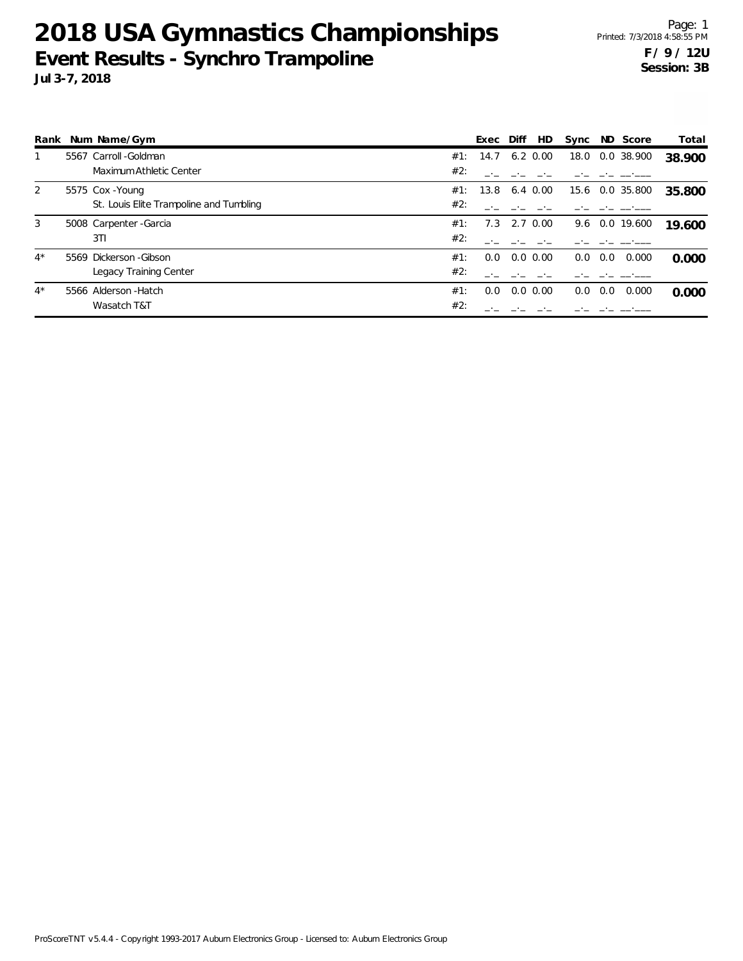|       | Rank Num Name/Gym                       |     | Exec | Diff | HD.         | Sync |     | ND Score       | Total  |
|-------|-----------------------------------------|-----|------|------|-------------|------|-----|----------------|--------|
|       | 5567 Carroll - Goldman                  | #1: | 14.7 | 6.2  | 0.00        | 18.0 |     | 0.0 38.900     | 38.900 |
|       | Maximum Athletic Center                 | #2: |      |      |             |      |     |                |        |
| 2     | 5575 Cox - Young                        | #1: | 13.8 |      | 6.4 0.00    | 15.6 |     | 0.0 35.800     | 35.800 |
|       | St. Louis Elite Trampoline and Tumbling | #2: |      |      |             |      |     |                |        |
| 3     | 5008 Carpenter - Garcia                 | #1: | 7.3  |      | 2.7 0.00    |      |     | 9.6 0.0 19.600 | 19.600 |
|       | 3T1                                     | #2: |      |      |             |      |     |                |        |
| $4^*$ | 5569 Dickerson - Gibson                 | #1: | 0.0  |      | $0.0\,0.00$ | 0.0  | 0.0 | 0.000          | 0.000  |
|       | Legacy Training Center                  | #2: |      |      |             |      |     |                |        |
| $4^*$ | 5566 Alderson - Hatch                   | #1: | 0.0  |      | $0.0\,0.00$ | 0.0  | 0.0 | 0.000          | 0.000  |
|       | Wasatch T&T                             | #2: |      |      |             |      |     |                |        |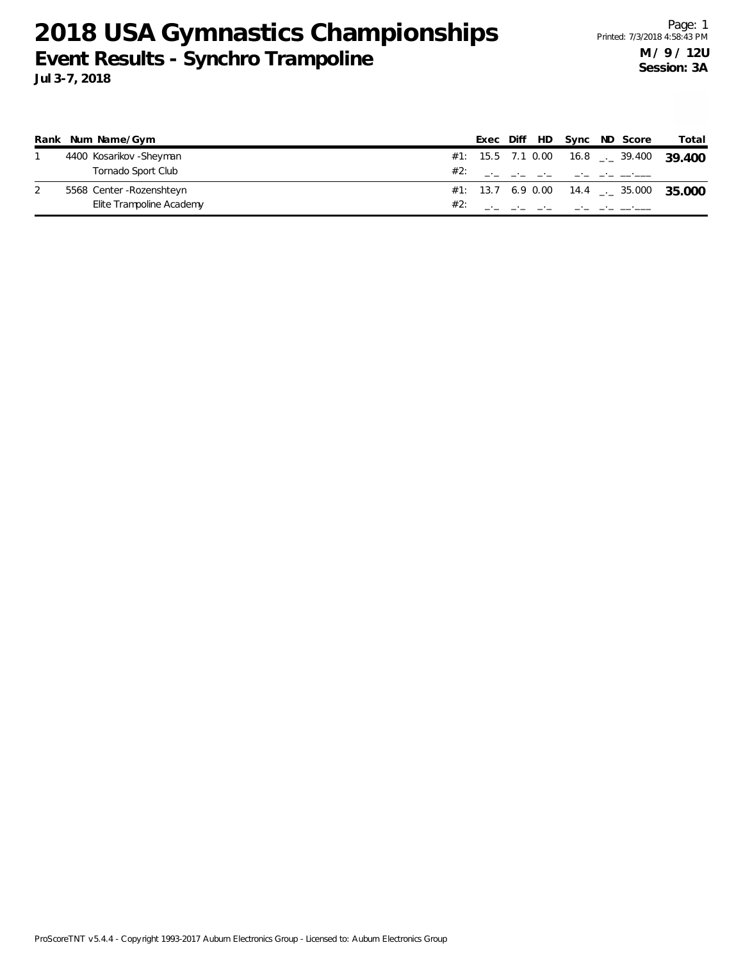|  | Rank Num Name/Gym        |  |  |                                                                                                                                                                                                                                                                                                                        | Exec Diff HD Sync ND Score | Total                                              |
|--|--------------------------|--|--|------------------------------------------------------------------------------------------------------------------------------------------------------------------------------------------------------------------------------------------------------------------------------------------------------------------------|----------------------------|----------------------------------------------------|
|  | 4400 Kosarikov - Sheyman |  |  |                                                                                                                                                                                                                                                                                                                        |                            | #1: 15.5 7.1 0.00 16.8 $\frac{1}{2}$ 39.400 39.400 |
|  | Tornado Sport Club       |  |  |                                                                                                                                                                                                                                                                                                                        |                            |                                                    |
|  | 5568 Center-Rozenshteyn  |  |  |                                                                                                                                                                                                                                                                                                                        |                            | #1: 13.7 6.9 0.00 14.4 $\frac{1}{2}$ 35.000 35.000 |
|  | Elite Trampoline Academy |  |  | #2: $\frac{1}{2}$ $\frac{1}{2}$ $\frac{1}{2}$ $\frac{1}{2}$ $\frac{1}{2}$ $\frac{1}{2}$ $\frac{1}{2}$ $\frac{1}{2}$ $\frac{1}{2}$ $\frac{1}{2}$ $\frac{1}{2}$ $\frac{1}{2}$ $\frac{1}{2}$ $\frac{1}{2}$ $\frac{1}{2}$ $\frac{1}{2}$ $\frac{1}{2}$ $\frac{1}{2}$ $\frac{1}{2}$ $\frac{1}{2}$ $\frac{1}{2}$ $\frac{1}{2$ |                            |                                                    |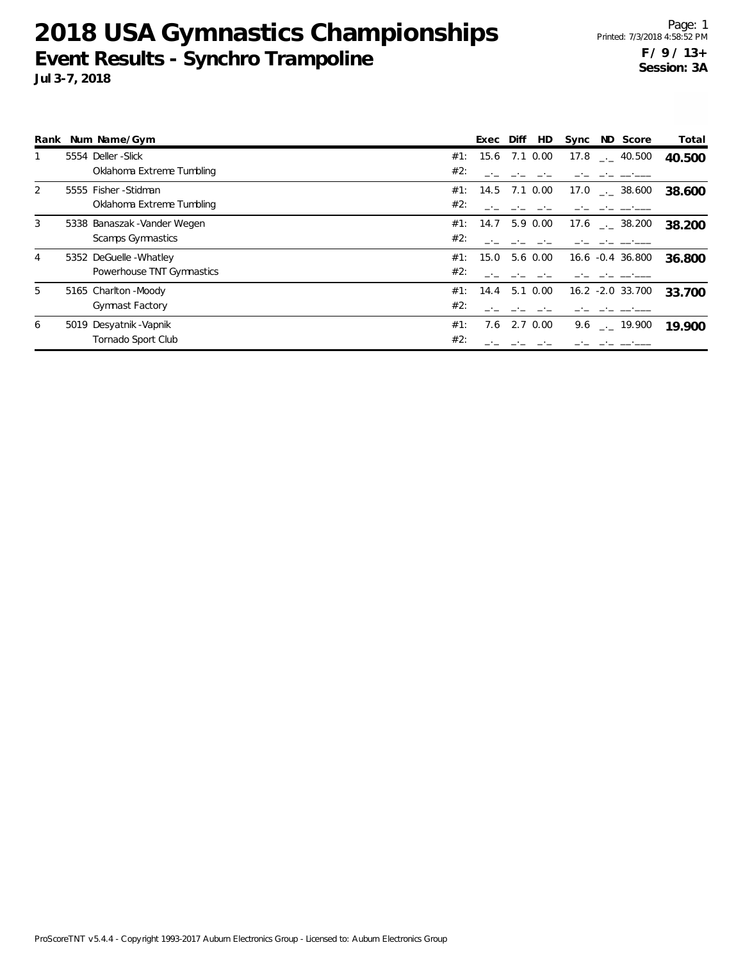|   | Rank Num Name/Gym            |     | Exec              | Diff | HD            | Sync | ND Score                | Total  |
|---|------------------------------|-----|-------------------|------|---------------|------|-------------------------|--------|
|   | 5554 Deller-Slick            | #1: | 15.6              |      | 7.1 0.00      |      | $17.8$ $_{--}$ 40.500   | 40.500 |
|   | Oklahoma Extreme Tumbling    | #2: |                   |      |               |      |                         |        |
| 2 | 5555 Fisher-Stidman          | #1: | 14.5 7.1 0.00     |      |               | 17.0 | $\frac{1}{2}$ 38.600    | 38.600 |
|   | Oklahoma Extreme Tumbling    | #2: |                   |      |               |      |                         |        |
| 3 | 5338 Banaszak - Vander Wegen |     | #1: 14.7 5.9 0.00 |      |               |      | $17.6$ $_{\sim}$ 38.200 | 38.200 |
|   | Scamps Gymnastics            | #2: |                   |      |               |      |                         |        |
| 4 | 5352 DeGuelle - Whatley      | #1: | 15.0              |      | 5.6 0.00      |      | 16.6 -0.4 36.800        | 36.800 |
|   | Powerhouse TNT Gymnastics    | #2: |                   |      |               |      |                         |        |
| 5 | 5165 Charlton - Moody        | #1: | 14.4              |      | $5.1 \ 0.00$  |      | 16.2 -2.0 33.700        | 33.700 |
|   | <b>Gymnast Factory</b>       | #2: |                   |      |               |      |                         |        |
| 6 | 5019 Desyatnik - Vapnik      | #1: | 7.6               |      | $2.7 \, 0.00$ |      | 9.6 $\qquad$ $-$ 19.900 | 19.900 |
|   | Tornado Sport Club           | #2: |                   |      |               |      |                         |        |